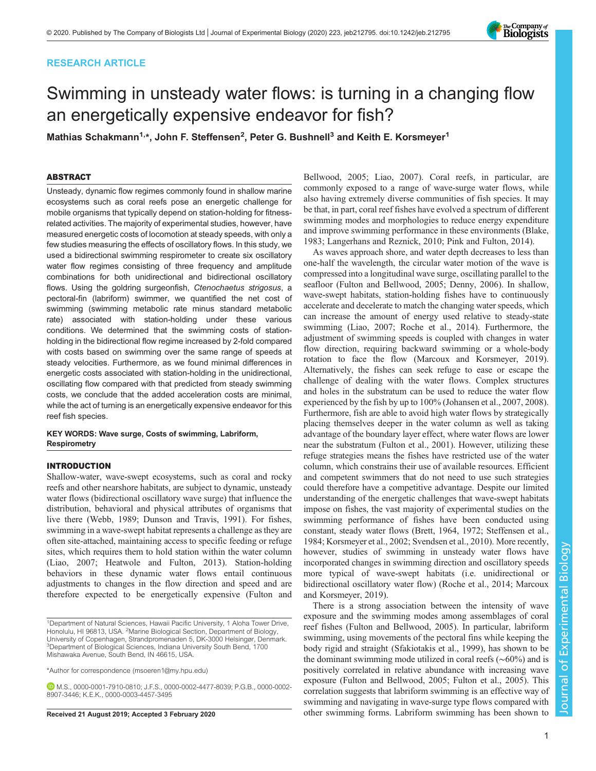# RESEARCH ARTICLE



# Swimming in unsteady water flows: is turning in a changing flow an energetically expensive endeavor for fish?

Mathias Schakmann<sup>1,</sup>\*, John F. Steffensen<sup>2</sup>, Peter G. Bushnell<sup>3</sup> and Keith E. Korsmeyer<sup>1</sup>

# ABSTRACT

Unsteady, dynamic flow regimes commonly found in shallow marine ecosystems such as coral reefs pose an energetic challenge for mobile organisms that typically depend on station-holding for fitnessrelated activities. The majority of experimental studies, however, have measured energetic costs of locomotion at steady speeds, with only a few studies measuring the effects of oscillatory flows. In this study, we used a bidirectional swimming respirometer to create six oscillatory water flow regimes consisting of three frequency and amplitude combinations for both unidirectional and bidirectional oscillatory flows. Using the goldring surgeonfish, Ctenochaetus strigosus, a pectoral-fin (labriform) swimmer, we quantified the net cost of swimming (swimming metabolic rate minus standard metabolic rate) associated with station-holding under these various conditions. We determined that the swimming costs of stationholding in the bidirectional flow regime increased by 2-fold compared with costs based on swimming over the same range of speeds at steady velocities. Furthermore, as we found minimal differences in energetic costs associated with station-holding in the unidirectional, oscillating flow compared with that predicted from steady swimming costs, we conclude that the added acceleration costs are minimal, while the act of turning is an energetically expensive endeavor for this reef fish species.

# KEY WORDS: Wave surge, Costs of swimming, Labriform, **Respirometry**

# INTRODUCTION

Shallow-water, wave-swept ecosystems, such as coral and rocky reefs and other nearshore habitats, are subject to dynamic, unsteady water flows (bidirectional oscillatory wave surge) that influence the distribution, behavioral and physical attributes of organisms that live there [\(Webb, 1989](#page-9-0); [Dunson and Travis, 1991\)](#page-8-0). For fishes, swimming in a wave-swept habitat represents a challenge as they are often site-attached, maintaining access to specific feeding or refuge sites, which requires them to hold station within the water column [\(Liao, 2007; Heatwole and Fulton, 2013\)](#page-8-0). Station-holding behaviors in these dynamic water flows entail continuous adjustments to changes in the flow direction and speed and are therefore expected to be energetically expensive ([Fulton and](#page-8-0)

\*Author for correspondence [\(msoeren1@my.hpu.edu\)](mailto:msoeren1@my.hpu.edu)

[Bellwood, 2005](#page-8-0); [Liao, 2007\)](#page-8-0). Coral reefs, in particular, are commonly exposed to a range of wave-surge water flows, while also having extremely diverse communities of fish species. It may be that, in part, coral reef fishes have evolved a spectrum of different swimming modes and morphologies to reduce energy expenditure and improve swimming performance in these environments ([Blake,](#page-8-0) [1983; Langerhans and Reznick, 2010](#page-8-0); [Pink and Fulton, 2014](#page-9-0)).

As waves approach shore, and water depth decreases to less than one-half the wavelength, the circular water motion of the wave is compressed into a longitudinal wave surge, oscillating parallel to the seafloor ([Fulton and Bellwood, 2005; Denny, 2006](#page-8-0)). In shallow, wave-swept habitats, station-holding fishes have to continuously accelerate and decelerate to match the changing water speeds, which can increase the amount of energy used relative to steady-state swimming ([Liao, 2007;](#page-8-0) [Roche et al., 2014\)](#page-9-0). Furthermore, the adjustment of swimming speeds is coupled with changes in water flow direction, requiring backward swimming or a whole-body rotation to face the flow [\(Marcoux and Korsmeyer, 2019\)](#page-8-0). Alternatively, the fishes can seek refuge to ease or escape the challenge of dealing with the water flows. Complex structures and holes in the substratum can be used to reduce the water flow experienced by the fish by up to 100% [\(Johansen et al., 2007](#page-8-0), [2008\)](#page-8-0). Furthermore, fish are able to avoid high water flows by strategically placing themselves deeper in the water column as well as taking advantage of the boundary layer effect, where water flows are lower near the substratum [\(Fulton et al., 2001\)](#page-8-0). However, utilizing these refuge strategies means the fishes have restricted use of the water column, which constrains their use of available resources. Efficient and competent swimmers that do not need to use such strategies could therefore have a competitive advantage. Despite our limited understanding of the energetic challenges that wave-swept habitats impose on fishes, the vast majority of experimental studies on the swimming performance of fishes have been conducted using constant, steady water flows [\(Brett, 1964](#page-8-0), [1972](#page-8-0); [Steffensen et al.,](#page-9-0) [1984;](#page-9-0) [Korsmeyer et al., 2002](#page-8-0); [Svendsen et al., 2010\)](#page-9-0). More recently, however, studies of swimming in unsteady water flows have incorporated changes in swimming direction and oscillatory speeds more typical of wave-swept habitats (i.e. unidirectional or bidirectional oscillatory water flow) [\(Roche et al., 2014;](#page-9-0) [Marcoux](#page-8-0) [and Korsmeyer, 2019\)](#page-8-0).

There is a strong association between the intensity of wave exposure and the swimming modes among assemblages of coral reef fishes ([Fulton and Bellwood, 2005\)](#page-8-0). In particular, labriform swimming, using movements of the pectoral fins while keeping the body rigid and straight [\(Sfakiotakis et al., 1999\)](#page-9-0), has shown to be the dominant swimming mode utilized in coral reefs (∼60%) and is positively correlated in relative abundance with increasing wave exposure [\(Fulton and Bellwood, 2005](#page-8-0); [Fulton et al., 2005](#page-8-0)). This correlation suggests that labriform swimming is an effective way of swimming and navigating in wave-surge type flows compared with Received 21 August 2019; Accepted 3 February 2020 other swimming forms. Labriform swimming has been shown to

<sup>1</sup>Department of Natural Sciences, Hawaii Pacific University, 1 Aloha Tower Drive, Honolulu, HI 96813, USA. <sup>2</sup>Marine Biological Section, Department of Biology, University of Copenhagen, Strandpromenaden 5, DK-3000 Helsingør, Denmark. <sup>3</sup>Department of Biological Sciences, Indiana University South Bend, 1700 Mishawaka Avenue, South Bend, IN 46615, USA.

M.S., [0000-0001-7910-0810](http://orcid.org/0000-0001-7910-0810); J.F.S., [0000-0002-4477-8039](http://orcid.org/0000-0002-4477-8039); P.G.B., [0000-0002-](http://orcid.org/0000-0002-8907-3446) [8907-3446](http://orcid.org/0000-0002-8907-3446); K.E.K., [0000-0003-4457-3495](http://orcid.org/0000-0003-4457-3495)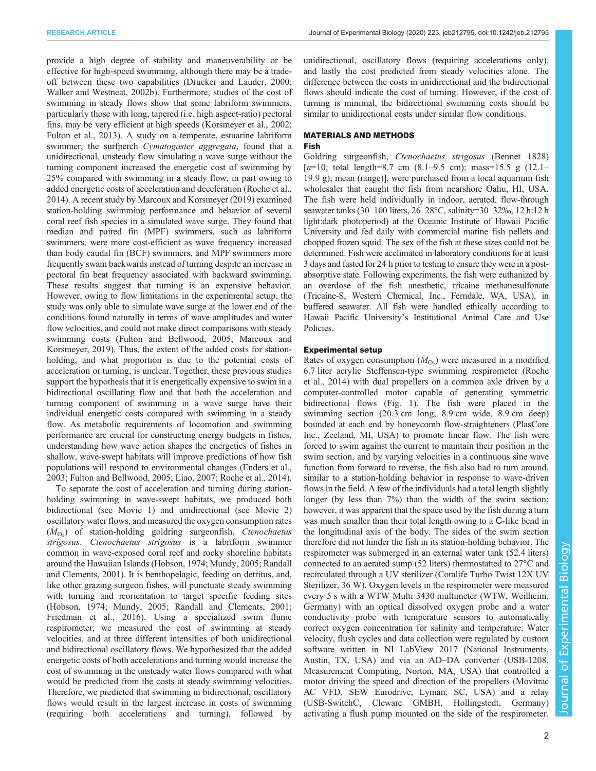provide a high degree of stability and maneuverability or be effective for high-speed swimming, although there may be a tradeoff between these two capabilities ([Drucker and Lauder, 2000](#page-8-0); [Walker and Westneat, 2002b](#page-9-0)). Furthermore, studies of the cost of swimming in steady flows show that some labriform swimmers, particularly those with long, tapered (i.e. high aspect-ratio) pectoral fins, may be very efficient at high speeds ([Korsmeyer et al., 2002](#page-8-0); [Fulton et al., 2013\)](#page-8-0). A study on a temperate, estuarine labriform swimmer, the surfperch *Cymatogaster aggregata*, found that a unidirectional, unsteady flow simulating a wave surge without the turning component increased the energetic cost of swimming by 25% compared with swimming in a steady flow, in part owing to added energetic costs of acceleration and deceleration [\(Roche et al.,](#page-9-0) [2014](#page-9-0)). A recent study by [Marcoux and Korsmeyer \(2019\)](#page-8-0) examined station-holding swimming performance and behavior of several coral reef fish species in a simulated wave surge. They found that median and paired fin (MPF) swimmers, such as labriform swimmers, were more cost-efficient as wave frequency increased than body caudal fin (BCF) swimmers, and MPF swimmers more frequently swam backwards instead of turning despite an increase in pectoral fin beat frequency associated with backward swimming. These results suggest that turning is an expensive behavior. However, owing to flow limitations in the experimental setup, the study was only able to simulate wave surge at the lower end of the conditions found naturally in terms of wave amplitudes and water flow velocities, and could not make direct comparisons with steady swimming costs [\(Fulton and Bellwood, 2005](#page-8-0); [Marcoux and](#page-8-0) [Korsmeyer, 2019\)](#page-8-0). Thus, the extent of the added costs for stationholding, and what proportion is due to the potential costs of acceleration or turning, is unclear. Together, these previous studies support the hypothesis that it is energetically expensive to swim in a bidirectional oscillating flow and that both the acceleration and turning component of swimming in a wave surge have their individual energetic costs compared with swimming in a steady flow. As metabolic requirements of locomotion and swimming performance are crucial for constructing energy budgets in fishes, understanding how wave action shapes the energetics of fishes in shallow, wave-swept habitats will improve predictions of how fish populations will respond to environmental changes ([Enders et al.,](#page-8-0) [2003](#page-8-0); [Fulton and Bellwood, 2005](#page-8-0); [Liao, 2007](#page-8-0); [Roche et al., 2014\)](#page-9-0).

To separate the cost of acceleration and turning during stationholding swimming in wave-swept habitats, we produced both bidirectional (see [Movie 1](http://movie.biologists.com/video/10.1242/jeb.212795/video-1)) and unidirectional (see [Movie 2\)](http://movie.biologists.com/video/10.1242/jeb.212795/video-2) oscillatory water flows, and measured the oxygen consumption rates  $(\dot{M}_{\text{O}_2})$  of station-holding goldring surgeonfish, Ctenochaetus<br>stringsus Ctenochaetus stringsus is a labriform swimmer strigosus. Ctenochaetus strigosus is a labriform swimmer common in wave-exposed coral reef and rocky shoreline habitats around the Hawaiian Islands [\(Hobson, 1974](#page-8-0); [Mundy, 2005](#page-9-0); [Randall](#page-9-0) [and Clements, 2001](#page-9-0)). It is benthopelagic, feeding on detritus, and, like other grazing surgeon fishes, will punctuate steady swimming with turning and reorientation to target specific feeding sites [\(Hobson, 1974;](#page-8-0) [Mundy, 2005](#page-9-0); [Randall and Clements, 2001](#page-9-0); [Friedman et al., 2016\)](#page-8-0). Using a specialized swim flume respirometer, we measured the cost of swimming at steady velocities, and at three different intensities of both unidirectional and bidirectional oscillatory flows. We hypothesized that the added energetic costs of both accelerations and turning would increase the cost of swimming in the unsteady water flows compared with what would be predicted from the costs at steady swimming velocities. Therefore, we predicted that swimming in bidirectional, oscillatory flows would result in the largest increase in costs of swimming (requiring both accelerations and turning), followed by

unidirectional, oscillatory flows (requiring accelerations only), and lastly the cost predicted from steady velocities alone. The difference between the costs in unidirectional and the bidirectional flows should indicate the cost of turning. However, if the cost of turning is minimal, the bidirectional swimming costs should be similar to unidirectional costs under similar flow conditions.

# MATERIALS AND METHODS Fish

Goldring surgeonfish, Ctenochaetus strigosus (Bennet 1828) [ $n=10$ ; total length=8.7 cm (8.1–9.5 cm); mass=15.5 g (12.1– 19.9 g); mean (range)], were purchased from a local aquarium fish wholesaler that caught the fish from nearshore Oahu, HI, USA. The fish were held individually in indoor, aerated, flow-through seawater tanks (30–100 liters, 26–28°C, salinity=30–32‰, 12 h:12 h light:dark photoperiod) at the Oceanic Institute of Hawaii Pacific University and fed daily with commercial marine fish pellets and chopped frozen squid. The sex of the fish at these sizes could not be determined. Fish were acclimated in laboratory conditions for at least 3 days and fasted for 24 h prior to testing to ensure they were in a postabsorptive state. Following experiments, the fish were euthanized by an overdose of the fish anesthetic, tricaine methanesulfonate (Tricaine-S, Western Chemical, Inc., Ferndale, WA, USA), in buffered seawater. All fish were handled ethically according to Hawaii Pacific University's Institutional Animal Care and Use Policies.

## Experimental setup

Rates of oxygen consumption  $(M<sub>O<sub>2</sub></sub>)$  were measured in a modified 6.7 liter acrylic. Steffensen-type swimming respirement (Roche 6.7 liter acrylic Steffensen-type swimming respirometer [\(Roche](#page-9-0) [et al., 2014](#page-9-0)) with dual propellers on a common axle driven by a computer-controlled motor capable of generating symmetric bidirectional flows ([Fig. 1\)](#page-2-0). The fish were placed in the swimming section (20.3 cm long, 8.9 cm wide, 8.9 cm deep) bounded at each end by honeycomb flow-straighteners (PlasCore Inc., Zeeland, MI, USA) to promote linear flow. The fish were forced to swim against the current to maintain their position in the swim section, and by varying velocities in a continuous sine wave function from forward to reverse, the fish also had to turn around, similar to a station-holding behavior in response to wave-driven flows in the field. A few of the individuals had a total length slightly longer (by less than 7%) than the width of the swim section; however, it was apparent that the space used by the fish during a turn was much smaller than their total length owing to a C-like bend in the longitudinal axis of the body. The sides of the swim section therefore did not hinder the fish in its station-holding behavior. The respirometer was submerged in an external water tank (52.4 liters) connected to an aerated sump (52 liters) thermostatted to 27°C and recirculated through a UV sterilizer (Coralife Turbo Twist 12X UV Sterilizer, 36 W). Oxygen levels in the respirometer were measured every 5 s with a WTW Multi 3430 multimeter (WTW, Weilheim, Germany) with an optical dissolved oxygen probe and a water conductivity probe with temperature sensors to automatically correct oxygen concentration for salinity and temperature. Water velocity, flush cycles and data collection were regulated by custom software written in NI LabView 2017 (National Instruments, Austin, TX, USA) and via an AD–DA converter (USB-1208, Measurement Computing, Norton, MA, USA) that controlled a motor driving the speed and direction of the propellers (Movitrac AC VFD, SEW Eurodrive, Lyman, SC, USA) and a relay (USB-SwitchC, Cleware GMBH, Hollingstedt, Germany) activating a flush pump mounted on the side of the respirometer.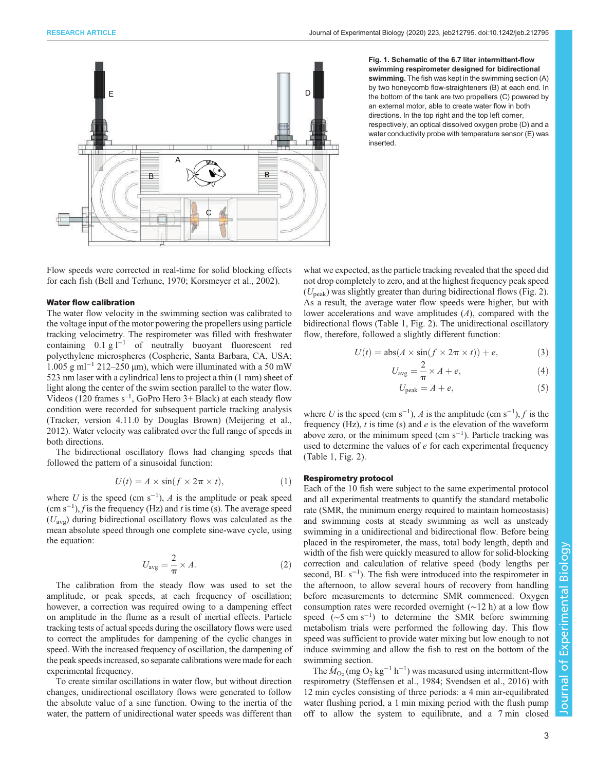<span id="page-2-0"></span>

Fig. 1. Schematic of the 6.7 liter intermittent-flow swimming respirometer designed for bidirectional swimming. The fish was kept in the swimming section (A) by two honeycomb flow-straighteners (B) at each end. In the bottom of the tank are two propellers (C) powered by an external motor, able to create water flow in both directions. In the top right and the top left corner, respectively, an optical dissolved oxygen probe (D) and a water conductivity probe with temperature sensor (E) was inserted.

Flow speeds were corrected in real-time for solid blocking effects for each fish ([Bell and Terhune, 1970; Korsmeyer et al., 2002](#page-8-0)).

#### Water flow calibration

The water flow velocity in the swimming section was calibrated to the voltage input of the motor powering the propellers using particle tracking velocimetry. The respirometer was filled with freshwater containing 0.1 g l−<sup>1</sup> of neutrally buoyant fluorescent red polyethylene microspheres (Cospheric, Santa Barbara, CA, USA; 1.005 g ml<sup>-1</sup> 212–250 μm), which were illuminated with a 50 mW 523 nm laser with a cylindrical lens to project a thin (1 mm) sheet of light along the center of the swim section parallel to the water flow. Videos (120 frames  $s^{-1}$ , GoPro Hero 3+ Black) at each steady flow condition were recorded for subsequent particle tracking analysis (Tracker, version 4.11.0 by Douglas Brown) ([Meijering et al.,](#page-9-0) [2012](#page-9-0)). Water velocity was calibrated over the full range of speeds in both directions.

The bidirectional oscillatory flows had changing speeds that followed the pattern of a sinusoidal function:

$$
U(t) = A \times \sin(f \times 2\pi \times t),\tag{1}
$$

where U is the speed (cm s<sup>-1</sup>), A is the amplitude or peak speed (cm s<sup>-1</sup>) f is the frequency (Hz) and t is time (s). The average speed  $(\text{cm s}^{-1})$ , f is the frequency (Hz) and t is time (s). The average speed  $(U \cap \text{drift}^{\text{tr}})$  during hidirectional oscillatory flows was calculated as the  $(U_{\text{avg}})$  during bidirectional oscillatory flows was calculated as the mean absolute speed through one complete sine-wave cycle, using the equation:

$$
U_{\text{avg}} = \frac{2}{\pi} \times A. \tag{2}
$$

The calibration from the steady flow was used to set the amplitude, or peak speeds, at each frequency of oscillation; however, a correction was required owing to a dampening effect on amplitude in the flume as a result of inertial effects. Particle tracking tests of actual speeds during the oscillatory flows were used to correct the amplitudes for dampening of the cyclic changes in speed. With the increased frequency of oscillation, the dampening of the peak speeds increased, so separate calibrations were made for each experimental frequency.

To create similar oscillations in water flow, but without direction changes, unidirectional oscillatory flows were generated to follow the absolute value of a sine function. Owing to the inertia of the water, the pattern of unidirectional water speeds was different than

what we expected, as the particle tracking revealed that the speed did not drop completely to zero, and at the highest frequency peak speed  $(U_{\text{peak}})$  was slightly greater than during bidirectional flows ([Fig. 2\)](#page-3-0). As a result, the average water flow speeds were higher, but with lower accelerations and wave amplitudes (A), compared with the bidirectional flows [\(Table 1](#page-4-0), [Fig. 2](#page-3-0)). The unidirectional oscillatory flow, therefore, followed a slightly different function:

$$
U(t) = abs(A \times sin(f \times 2\pi \times t)) + e,
$$
 (3)

$$
U_{\text{avg}} = \frac{2}{\pi} \times A + e,\tag{4}
$$

$$
U_{\text{peak}} = A + e,\tag{5}
$$

where U is the speed (cm s<sup>-1</sup>), A is the amplitude (cm s<sup>-1</sup>), f is the frequency (Hz) t is time (s) and e is the elevation of the waveform frequency (Hz),  $t$  is time (s) and  $e$  is the elevation of the waveform above zero, or the minimum speed  $\text{(cm s}^{-1})$ . Particle tracking was used to determine the values of e for each experimental frequency [\(Table 1,](#page-4-0) [Fig. 2](#page-3-0)).

#### Respirometry protocol

Each of the 10 fish were subject to the same experimental protocol and all experimental treatments to quantify the standard metabolic rate (SMR, the minimum energy required to maintain homeostasis) and swimming costs at steady swimming as well as unsteady swimming in a unidirectional and bidirectional flow. Before being placed in the respirometer, the mass, total body length, depth and width of the fish were quickly measured to allow for solid-blocking correction and calculation of relative speed (body lengths per second, BL s<sup>-1</sup>). The fish were introduced into the respirometer in the afternoon, to allow several hours of recovery from handling before measurements to determine SMR commenced. Oxygen consumption rates were recorded overnight (∼12 h) at a low flow speed (~5 cm s<sup>-1</sup>) to determine the SMR before swimming metabolism trials were performed the following day. This flow speed was sufficient to provide water mixing but low enough to not induce swimming and allow the fish to rest on the bottom of the swimming section.

The  $\dot{M}_{\text{O}_2}$  (mg  $\text{O}_2$  kg<sup>-1</sup> h<sup>-1</sup>) was measured using intermittent-flow<br>primetry (Steffensen et al. 1984: Svendsen et al. 2016) with respirometry ([Steffensen et al., 1984](#page-9-0); [Svendsen et al., 2016\)](#page-9-0) with 12 min cycles consisting of three periods: a 4 min air-equilibrated water flushing period, a 1 min mixing period with the flush pump off to allow the system to equilibrate, and a 7 min closed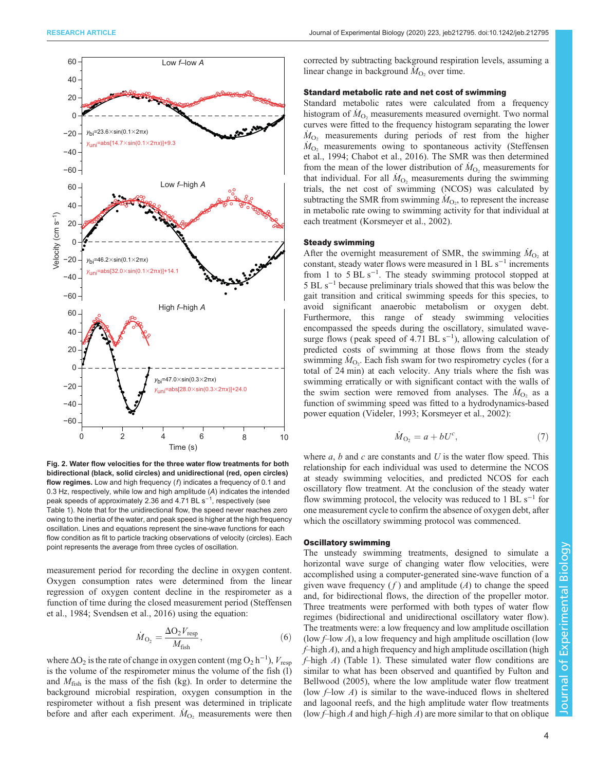<span id="page-3-0"></span>

Fig. 2. Water flow velocities for the three water flow treatments for both bidirectional (black, solid circles) and unidirectional (red, open circles) flow regimes. Low and high frequency  $(f)$  indicates a frequency of 0.1 and 0.3 Hz, respectively, while low and high amplitude (A) indicates the intended peak speeds of approximately 2.36 and 4.71 BL s<sup>−1</sup>, respectively (see [Table 1\)](#page-4-0). Note that for the unidirectional flow, the speed never reaches zero owing to the inertia of the water, and peak speed is higher at the high frequency oscillation. Lines and equations represent the sine-wave functions for each flow condition as fit to particle tracking observations of velocity (circles). Each point represents the average from three cycles of oscillation.

measurement period for recording the decline in oxygen content. Oxygen consumption rates were determined from the linear regression of oxygen content decline in the respirometer as a function of time during the closed measurement period [\(Steffensen](#page-9-0) [et al., 1984; Svendsen et al., 2016](#page-9-0)) using the equation:

$$
\dot{M}_{\text{O}_2} = \frac{\Delta \text{O}_2 V_{\text{resp}}}{M_{\text{fish}}},\tag{6}
$$

where  $\Delta O_2$  is the rate of change in oxygen content (mg  $O_2$  h<sup>-1</sup>),  $V_{\text{resp}}$ <br>is the volume of the respirometer minus the volume of the fish (1) is the volume of the respirometer minus the volume of the fish (l) and  $M_{\text{fish}}$  is the mass of the fish (kg). In order to determine the background microbial respiration, oxygen consumption in the respirometer without a fish present was determined in triplicate before and after each experiment.  $\dot{M}_{\text{O}_2}$  measurements were then

corrected by subtracting background respiration levels, assuming a linear change in background  $\dot{M}_{\text{O}_2}$  over time.

#### Standard metabolic rate and net cost of swimming

Standard metabolic rates were calculated from a frequency histogram of  $\dot{M}_{\text{O}_2}$  measurements measured overnight. Two normal<br>curves were fitted to the frequency histogram separating the lower curves were fitted to the frequency histogram separating the lower  $\dot{M}_{\text{O}_2}$  measurements during periods of rest from the higher  $\dot{M}_{\odot}$  measurements owing to spontaneous activity (Steffensen  $\dot{M}_{\text{O}_2}$  measurements owing to spontaneous activity [\(Steffensen](#page-9-0)<br>et al. 1994: Chabot et al. 2016). The SMR was then determined [et al., 1994;](#page-9-0) [Chabot et al., 2016](#page-8-0)). The SMR was then determined from the mean of the lower distribution of  $\dot{M}_{\text{O}_2}$  measurements for that individual For all  $\dot{M}_{\text{O}_2}$  measurements during the swimming that individual. For all  $\dot{M}_{\text{O}_2}$  measurements during the swimming<br>trials the net cost of swimming (NCOS) was calculated by trials, the net cost of swimming (NCOS) was calculated by subtracting the SMR from swimming  $\dot{M}_{\text{O}_2}$ , to represent the increase<br>in metabolic rate owing to swimming activity for that individual at in metabolic rate owing to swimming activity for that individual at each treatment ([Korsmeyer et al., 2002](#page-8-0)).

## Steady swimming

After the overnight measurement of SMR, the swimming  $\dot{M}_{\text{O}_2}$  at constant steady water flows were measured in 1 BL s<sup>-1</sup> increments constant, steady water flows were measured in 1 BL  $s^{-1}$  increments from 1 to 5 BL  $s^{-1}$ . The steady swimming protocol stopped at 5 BL s−<sup>1</sup> because preliminary trials showed that this was below the gait transition and critical swimming speeds for this species, to avoid significant anaerobic metabolism or oxygen debt. Furthermore, this range of steady swimming velocities encompassed the speeds during the oscillatory, simulated wavesurge flows (peak speed of 4.71 BL  $s^{-1}$ ), allowing calculation of predicted costs of swimming at those flows from the steady swimming  $\dot{M}_{\text{O}_2}$ . Each fish swam for two respirometry cycles (for a total of 24 min) at each velocity. Any trials where the fish was total of 24 min) at each velocity. Any trials where the fish was swimming erratically or with significant contact with the walls of the swim section were removed from analyses. The  $\dot{M}_{\text{O}_2}$  as a function of swimming speed was fitted to a hydrodynamics-based function of swimming speed was fitted to a hydrodynamics-based power equation ([Videler, 1993;](#page-9-0) [Korsmeyer et al., 2002\)](#page-8-0):

$$
\dot{M}_{\text{O}_2} = a + bU^c,\tag{7}
$$

where  $a, b$  and  $c$  are constants and  $U$  is the water flow speed. This relationship for each individual was used to determine the NCOS at steady swimming velocities, and predicted NCOS for each oscillatory flow treatment. At the conclusion of the steady water flow swimming protocol, the velocity was reduced to 1 BL s<sup>-1</sup> for one measurement cycle to confirm the absence of oxygen debt, after which the oscillatory swimming protocol was commenced.

#### Oscillatory swimming

The unsteady swimming treatments, designed to simulate a horizontal wave surge of changing water flow velocities, were accomplished using a computer-generated sine-wave function of a given wave frequency  $(f)$  and amplitude  $(A)$  to change the speed and, for bidirectional flows, the direction of the propeller motor. Three treatments were performed with both types of water flow regimes (bidirectional and unidirectional oscillatory water flow). The treatments were: a low frequency and low amplitude oscillation (low  $f$ –low A), a low frequency and high amplitude oscillation (low  $f$ –high A), and a high frequency and high amplitude oscillation (high  $f$ –high  $\Lambda$ ) [\(Table 1\)](#page-4-0). These simulated water flow conditions are similar to what has been observed and quantified by [Fulton and](#page-8-0) [Bellwood \(2005\),](#page-8-0) where the low amplitude water flow treatment (low  $f$ –low  $A$ ) is similar to the wave-induced flows in sheltered and lagoonal reefs, and the high amplitude water flow treatments (low  $f$ –high A and high  $f$ –high A) are more similar to that on oblique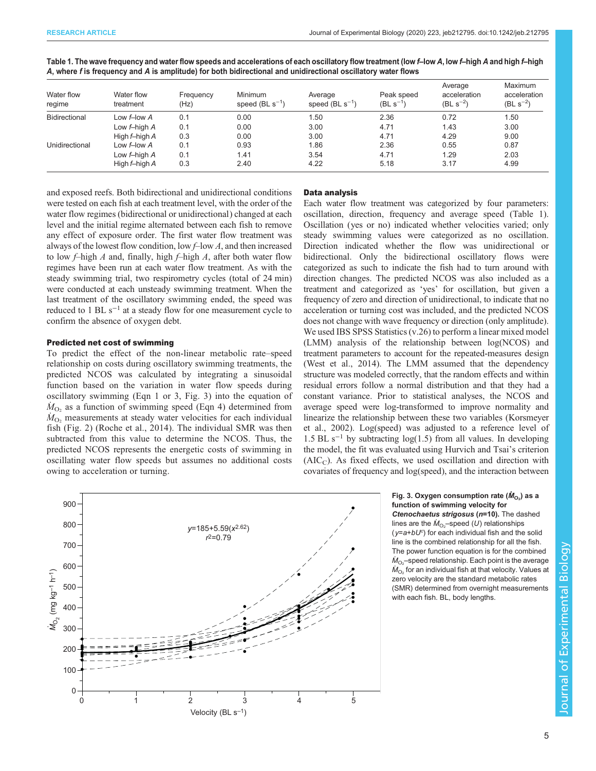| Water flow<br>regime | Water flow<br>treatment | Frequency<br>(Hz) | <b>Minimum</b><br>speed $(BL s^{-1})$ | Average<br>speed $(BL s^{-1})$ | Peak speed<br>$(BL s^{-1})$ | Average<br>acceleration<br>$(BL s^{-2})$ | Maximum<br>acceleration<br>$(BL s^{-2})$ |
|----------------------|-------------------------|-------------------|---------------------------------------|--------------------------------|-----------------------------|------------------------------------------|------------------------------------------|
| <b>Bidirectional</b> | Low f-low A             | 0.1               | 0.00                                  | 1.50                           | 2.36                        | 0.72                                     | 1.50                                     |
|                      | Low $f$ -high $A$       | 0.1               | 0.00                                  | 3.00                           | 4.71                        | 1.43                                     | 3.00                                     |
|                      | High $f$ -high $A$      | 0.3               | 0.00                                  | 3.00                           | 4.71                        | 4.29                                     | 9.00                                     |
| Unidirectional       | Low f-low A             | 0.1               | 0.93                                  | 1.86                           | 2.36                        | 0.55                                     | 0.87                                     |
|                      | Low $f$ -high $A$       | 0.1               | 1.41                                  | 3.54                           | 4.71                        | 1.29                                     | 2.03                                     |
|                      | High $f$ -high $A$      | 0.3               | 2.40                                  | 4.22                           | 5.18                        | 3.17                                     | 4.99                                     |

<span id="page-4-0"></span>Table 1. The wave frequency and water flow speeds and accelerations of each oscillatory flow treatment (low f–low A, low f–high A and high f–high A, where f is frequency and A is amplitude) for both bidirectional and unidirectional oscillatory water flows

and exposed reefs. Both bidirectional and unidirectional conditions were tested on each fish at each treatment level, with the order of the water flow regimes (bidirectional or unidirectional) changed at each level and the initial regime alternated between each fish to remove any effect of exposure order. The first water flow treatment was always of the lowest flow condition, low  $f$ –low A, and then increased to low  $f$ -high  $A$  and, finally, high  $f$ -high  $A$ , after both water flow regimes have been run at each water flow treatment. As with the steady swimming trial, two respirometry cycles (total of 24 min) were conducted at each unsteady swimming treatment. When the last treatment of the oscillatory swimming ended, the speed was reduced to 1 BL  $s^{-1}$  at a steady flow for one measurement cycle to confirm the absence of oxygen debt.

# Predicted net cost of swimming

To predict the effect of the non-linear metabolic rate–speed relationship on costs during oscillatory swimming treatments, the predicted NCOS was calculated by integrating a sinusoidal function based on the variation in water flow speeds during oscillatory swimming (Eqn 1 or 3, Fig. 3) into the equation of  $M_{\text{O}_2}$  as a function of swimming speed (Eqn 4) determined from<br> $M_{\odot}$  measurements at steady water velocities for each individual  $\dot{M}_{\text{O}_2}$  measurements at steady water velocities for each individual<br>fish (Fig. 2) (Roche et al. 2014). The individual SMR was then fish ([Fig. 2](#page-3-0)) [\(Roche et al., 2014](#page-9-0)). The individual SMR was then subtracted from this value to determine the NCOS. Thus, the predicted NCOS represents the energetic costs of swimming in oscillating water flow speeds but assumes no additional costs owing to acceleration or turning.



Velocity (BL s–1)

#### Data analysis

Each water flow treatment was categorized by four parameters: oscillation, direction, frequency and average speed (Table 1). Oscillation (yes or no) indicated whether velocities varied; only steady swimming values were categorized as no oscillation. Direction indicated whether the flow was unidirectional or bidirectional. Only the bidirectional oscillatory flows were categorized as such to indicate the fish had to turn around with direction changes. The predicted NCOS was also included as a treatment and categorized as 'yes' for oscillation, but given a frequency of zero and direction of unidirectional, to indicate that no acceleration or turning cost was included, and the predicted NCOS does not change with wave frequency or direction (only amplitude). We used IBS SPSS Statistics (v.26) to perform a linear mixed model (LMM) analysis of the relationship between log(NCOS) and treatment parameters to account for the repeated-measures design [\(West et al., 2014\)](#page-9-0). The LMM assumed that the dependency structure was modeled correctly, that the random effects and within residual errors follow a normal distribution and that they had a constant variance. Prior to statistical analyses, the NCOS and average speed were log-transformed to improve normality and linearize the relationship between these two variables ([Korsmeyer](#page-8-0) [et al., 2002](#page-8-0)). Log(speed) was adjusted to a reference level of 1.5 BL s<sup>-1</sup> by subtracting log(1.5) from all values. In developing the model, the fit was evaluated using Hurvich and Tsai's criterion  $(AIC<sub>C</sub>)$ . As fixed effects, we used oscillation and direction with covariates of frequency and log(speed), and the interaction between

### Fig. 3. Oxygen consumption rate  $(\dot{M}_{\rm O_2})$  as a<br>function of swimming velocity for function of swimming velocity for

Ctenochaetus strigosus (n=10). The dashed lines are the  $\dot{M}_{\rm O_2}$ –speed (*U*) relationships  $(y=a+bU^c)$  for each individual fish and the solid line is the combined relationship for all the fish. The power function equation is for the combined  $\dot{M}_{\rm O_2}$ –speed relationship. Each point is the average  $\dot{M}_{\Omega_2}$  for an individual fish at that velocity. Values at zero velocity are the standard metabolic rates (SMR) determined from overnight measurements with each fish. BL, body lengths.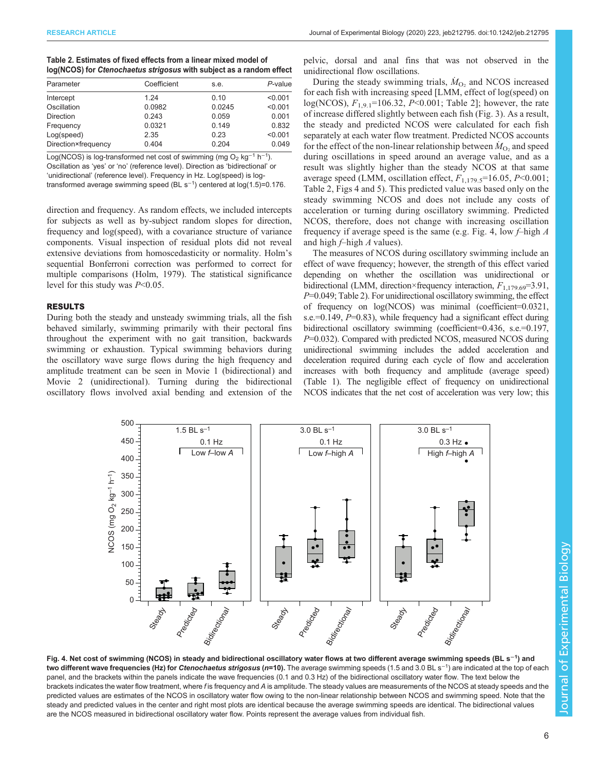<span id="page-5-0"></span>

| Table 2. Estimates of fixed effects from a linear mixed model of     |  |
|----------------------------------------------------------------------|--|
| log(NCOS) for Ctenochaetus strigosus with subject as a random effect |  |
|                                                                      |  |

| Parameter           | Coefficient | s.e.   | P-value |
|---------------------|-------------|--------|---------|
| Intercept           | 1 24        | 0.10   | < 0.001 |
| Oscillation         | 0.0982      | 0.0245 | < 0.001 |
| <b>Direction</b>    | 0.243       | 0.059  | 0.001   |
| Frequency           | 0.0321      | 0.149  | 0.832   |
| Log(speed)          | 2.35        | 0.23   | < 0.001 |
| Direction×frequency | 0.404       | 0.204  | 0.049   |
|                     |             |        |         |

Log(NCOS) is log-transformed net cost of swimming (mg O<sub>2</sub> kg<sup>-1</sup> h<sup>-1</sup>). Oscillation as 'yes' or 'no' (reference level). Direction as 'bidirectional' or 'unidirectional' (reference level). Frequency in Hz. Log(speed) is logtransformed average swimming speed (BL s<sup>-1</sup>) centered at log(1.5)=0.176.

direction and frequency. As random effects, we included intercepts for subjects as well as by-subject random slopes for direction, frequency and log(speed), with a covariance structure of variance components. Visual inspection of residual plots did not reveal extensive deviations from homoscedasticity or normality. Holm's sequential Bonferroni correction was performed to correct for multiple comparisons [\(Holm, 1979](#page-8-0)). The statistical significance level for this study was  $P<0.05$ .

# RESULTS

During both the steady and unsteady swimming trials, all the fish behaved similarly, swimming primarily with their pectoral fins throughout the experiment with no gait transition, backwards swimming or exhaustion. Typical swimming behaviors during the oscillatory wave surge flows during the high frequency and amplitude treatment can be seen in [Movie 1](http://movie.biologists.com/video/10.1242/jeb.212795/video-1) (bidirectional) and [Movie 2](http://movie.biologists.com/video/10.1242/jeb.212795/video-2) (unidirectional). Turning during the bidirectional oscillatory flows involved axial bending and extension of the

pelvic, dorsal and anal fins that was not observed in the unidirectional flow oscillations.

During the steady swimming trials,  $\dot{M}_{\text{O}_2}$  and NCOS increased<br>ceach fish with increasing speed II MM effect of log(speed) on for each fish with increasing speed [LMM, effect of log(speed) on log(NCOS),  $F_{1,9,1}$ =106.32, P<0.001; Table 2]; however, the rate of increase differed slightly between each fish ([Fig. 3\)](#page-4-0). As a result, the steady and predicted NCOS were calculated for each fish separately at each water flow treatment. Predicted NCOS accounts for the effect of the non-linear relationship between  $\dot{M}_{\text{O}_2}$  and speed<br>during oscillations in speed around an average value, and as a during oscillations in speed around an average value, and as a result was slightly higher than the steady NCOS at that same average speed (LMM, oscillation effect,  $F_{1,179.5}$ =16.05, P<0.001; Table 2, Figs 4 and [5](#page-6-0)). This predicted value was based only on the steady swimming NCOS and does not include any costs of acceleration or turning during oscillatory swimming. Predicted NCOS, therefore, does not change with increasing oscillation frequency if average speed is the same (e.g. Fig. 4, low  $f$ –high A and high  $f$ –high  $A$  values).

The measures of NCOS during oscillatory swimming include an effect of wave frequency; however, the strength of this effect varied depending on whether the oscillation was unidirectional or bidirectional (LMM, direction×frequency interaction,  $F_{1,179.69}$ =3.91, P=0.049; Table 2). For unidirectional oscillatory swimming, the effect of frequency on log(NCOS) was minimal (coefficient=0.0321, s.e.= $0.149$ ,  $P=0.83$ ), while frequency had a significant effect during bidirectional oscillatory swimming (coefficient=0.436, s.e.=0.197,  $P=0.032$ ). Compared with predicted NCOS, measured NCOS during unidirectional swimming includes the added acceleration and deceleration required during each cycle of flow and acceleration increases with both frequency and amplitude (average speed) [\(Table 1\)](#page-4-0). The negligible effect of frequency on unidirectional NCOS indicates that the net cost of acceleration was very low; this



Fig. 4. Net cost of swimming (NCOS) in steady and bidirectional oscillatory water flows at two different average swimming speeds (BL s<sup>−1</sup>) and two different wave frequencies (Hz) for Ctenochaetus strigosus (n=10). The average swimming speeds (1.5 and 3.0 BL s<sup>−1</sup>) are indicated at the top of each<br>panel, and the brackets within the panels indicate the wave freque panel, and the brackets within the panels indicate the wave frequencies (0.1 and 0.3 Hz) of the bidirectional oscillatory water flow. The text below the brackets indicates the water flow treatment, where f is frequency and A is amplitude. The steady values are measurements of the NCOS at steady speeds and the predicted values are estimates of the NCOS in oscillatory water flow owing to the non-linear relationship between NCOS and swimming speed. Note that the steady and predicted values in the center and right most plots are identical because the average swimming speeds are identical. The bidirectional values are the NCOS measured in bidirectional oscillatory water flow. Points represent the average values from individual fish.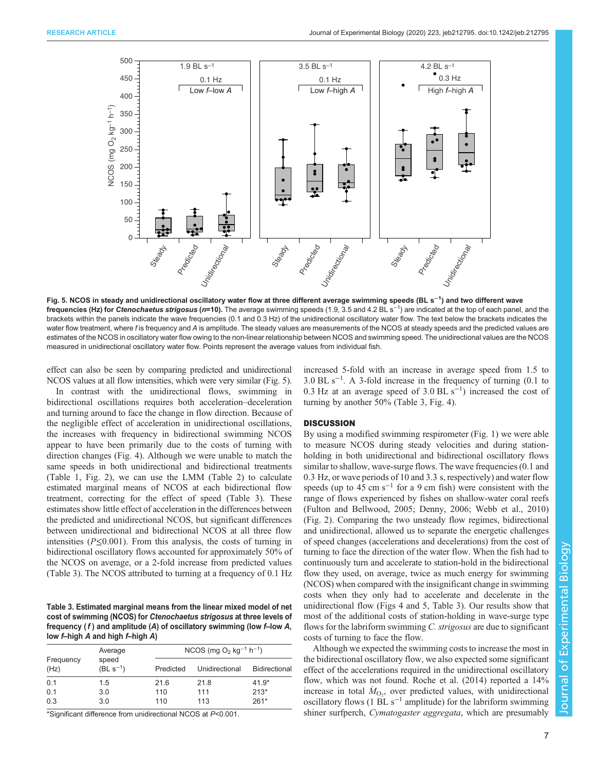<span id="page-6-0"></span>

Fig. 5. NCOS in steady and unidirectional oscillatory water flow at three different average swimming speeds (BL s<sup>−1</sup>) and two different wave **frequencies (Hz) for Ctenochaetus strigosus (n=10).** The average swimming speeds (1.9, 3.5 and 4.2 BL s<sup>−1</sup>) are indicated at the top of each panel, and the top of each panel, and the top of each panel, and the top of ea brackets within the panels indicate the wave frequencies (0.1 and 0.3 Hz) of the unidirectional oscillatory water flow. The text below the brackets indicates the water flow treatment, where f is frequency and A is amplitude. The steady values are measurements of the NCOS at steady speeds and the predicted values are estimates of the NCOS in oscillatory water flow owing to the non-linear relationship between NCOS and swimming speed. The unidirectional values are the NCOS measured in unidirectional oscillatory water flow. Points represent the average values from individual fish.

effect can also be seen by comparing predicted and unidirectional NCOS values at all flow intensities, which were very similar (Fig. 5).

In contrast with the unidirectional flows, swimming in bidirectional oscillations requires both acceleration–deceleration and turning around to face the change in flow direction. Because of the negligible effect of acceleration in unidirectional oscillations, the increases with frequency in bidirectional swimming NCOS appear to have been primarily due to the costs of turning with direction changes ([Fig. 4](#page-5-0)). Although we were unable to match the same speeds in both unidirectional and bidirectional treatments [\(Table 1](#page-4-0), [Fig. 2](#page-3-0)), we can use the LMM [\(Table 2\)](#page-5-0) to calculate estimated marginal means of NCOS at each bidirectional flow treatment, correcting for the effect of speed (Table 3). These estimates show little effect of acceleration in the differences between the predicted and unidirectional NCOS, but significant differences between unidirectional and bidirectional NCOS at all three flow intensities ( $P \le 0.001$ ). From this analysis, the costs of turning in bidirectional oscillatory flows accounted for approximately 50% of the NCOS on average, or a 2-fold increase from predicted values (Table 3). The NCOS attributed to turning at a frequency of 0.1 Hz

Table 3. Estimated marginal means from the linear mixed model of net cost of swimming (NCOS) for Ctenochaetus strigosus at three levels of frequency  $(f)$  and amplitude  $(A)$  of oscillatory swimming (low f-low A, low f–high A and high f–high A)

|                   | Average                | NCOS (mg $O_2$ kg <sup>-1</sup> h <sup>-1</sup> ) |                |                      |  |
|-------------------|------------------------|---------------------------------------------------|----------------|----------------------|--|
| Frequency<br>(Hz) | speed<br>$(BL s^{-1})$ | Predicted                                         | Unidirectional | <b>Bidirectional</b> |  |
| 0.1               | 1.5                    | 21.6                                              | 21.8           | $41.9*$              |  |
| 0.1               | 3.0                    | 110                                               | 111            | $213*$               |  |
| 0.3               | 3.0                    | 110                                               | 113            | $261*$               |  |

\*Significant difference from unidirectional NCOS at P<0.001.

increased 5-fold with an increase in average speed from 1.5 to 3.0 BL s−<sup>1</sup> . A 3-fold increase in the frequency of turning (0.1 to 0.3 Hz at an average speed of 3.0 BL s<sup>-1</sup>) increased the cost of turning by another 50% (Table 3, [Fig. 4\)](#page-5-0).

### **DISCUSSION**

By using a modified swimming respirometer ([Fig. 1](#page-2-0)) we were able to measure NCOS during steady velocities and during stationholding in both unidirectional and bidirectional oscillatory flows similar to shallow, wave-surge flows. The wave frequencies  $(0.1 \text{ and } 1.1)$ 0.3 Hz, or wave periods of 10 and 3.3 s, respectively) and water flow speeds (up to 45 cm s<sup> $-1$ </sup> for a 9 cm fish) were consistent with the range of flows experienced by fishes on shallow-water coral reefs [\(Fulton and Bellwood, 2005](#page-8-0); [Denny, 2006;](#page-8-0) [Webb et al., 2010\)](#page-9-0) [\(Fig. 2](#page-3-0)). Comparing the two unsteady flow regimes, bidirectional and unidirectional, allowed us to separate the energetic challenges of speed changes (accelerations and decelerations) from the cost of turning to face the direction of the water flow. When the fish had to continuously turn and accelerate to station-hold in the bidirectional flow they used, on average, twice as much energy for swimming (NCOS) when compared with the insignificant change in swimming costs when they only had to accelerate and decelerate in the unidirectional flow [\(Figs 4](#page-5-0) and 5, Table 3). Our results show that most of the additional costs of station-holding in wave-surge type flows for the labriform swimming C. strigosus are due to significant costs of turning to face the flow.

Although we expected the swimming costs to increase the most in the bidirectional oscillatory flow, we also expected some significant effect of the accelerations required in the unidirectional oscillatory flow, which was not found. [Roche et al. \(2014\)](#page-9-0) reported a 14% increase in total  $\dot{M}_{\text{O}_2}$ , over predicted values, with unidirectional oscillatory flows (1 BL s<sup>-1</sup> amplitude) for the labriform swimming oscillatory flows (1 BL  $s^{-1}$  amplitude) for the labriform swimming shiner surfperch, Cymatogaster aggregata, which are presumably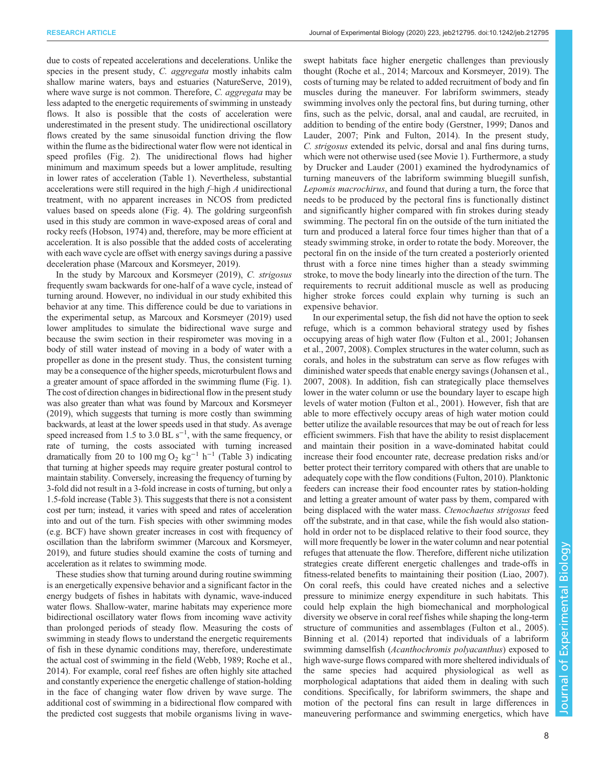due to costs of repeated accelerations and decelerations. Unlike the species in the present study, C. aggregata mostly inhabits calm shallow marine waters, bays and estuaries [\(NatureServe, 2019\)](#page-9-0), where wave surge is not common. Therefore, C. aggregata may be less adapted to the energetic requirements of swimming in unsteady flows. It also is possible that the costs of acceleration were underestimated in the present study. The unidirectional oscillatory flows created by the same sinusoidal function driving the flow within the flume as the bidirectional water flow were not identical in speed profiles [\(Fig. 2\)](#page-3-0). The unidirectional flows had higher minimum and maximum speeds but a lower amplitude, resulting in lower rates of acceleration [\(Table 1\)](#page-4-0). Nevertheless, substantial accelerations were still required in the high f–high A unidirectional treatment, with no apparent increases in NCOS from predicted values based on speeds alone ([Fig. 4](#page-5-0)). The goldring surgeonfish used in this study are common in wave-exposed areas of coral and rocky reefs ([Hobson, 1974\)](#page-8-0) and, therefore, may be more efficient at acceleration. It is also possible that the added costs of accelerating with each wave cycle are offset with energy savings during a passive deceleration phase [\(Marcoux and Korsmeyer, 2019\)](#page-8-0).

In the study by [Marcoux and Korsmeyer \(2019\)](#page-8-0), C. strigosus frequently swam backwards for one-half of a wave cycle, instead of turning around. However, no individual in our study exhibited this behavior at any time. This difference could be due to variations in the experimental setup, as [Marcoux and Korsmeyer \(2019\)](#page-8-0) used lower amplitudes to simulate the bidirectional wave surge and because the swim section in their respirometer was moving in a body of still water instead of moving in a body of water with a propeller as done in the present study. Thus, the consistent turning may be a consequence of the higher speeds, microturbulent flows and a greater amount of space afforded in the swimming flume ([Fig. 1\)](#page-2-0). The cost of direction changes in bidirectional flow in the present study was also greater than what was found by [Marcoux and Korsmeyer](#page-8-0) [\(2019\),](#page-8-0) which suggests that turning is more costly than swimming backwards, at least at the lower speeds used in that study. As average speed increased from 1.5 to 3.0 BL  $s^{-1}$ , with the same frequency, or rate of turning, the costs associated with turning increased dramatically from 20 to 100 mg O<sub>2</sub> kg<sup>-1</sup> h<sup>-1</sup> ([Table 3\)](#page-6-0) indicating that turning at higher speeds may require greater postural control to maintain stability. Conversely, increasing the frequency of turning by 3-fold did not result in a 3-fold increase in costs of turning, but only a 1.5-fold increase [\(Table 3\)](#page-6-0). This suggests that there is not a consistent cost per turn; instead, it varies with speed and rates of acceleration into and out of the turn. Fish species with other swimming modes (e.g. BCF) have shown greater increases in cost with frequency of oscillation than the labriform swimmer [\(Marcoux and Korsmeyer,](#page-8-0) [2019\)](#page-8-0), and future studies should examine the costs of turning and acceleration as it relates to swimming mode.

These studies show that turning around during routine swimming is an energetically expensive behavior and a significant factor in the energy budgets of fishes in habitats with dynamic, wave-induced water flows. Shallow-water, marine habitats may experience more bidirectional oscillatory water flows from incoming wave activity than prolonged periods of steady flow. Measuring the costs of swimming in steady flows to understand the energetic requirements of fish in these dynamic conditions may, therefore, underestimate the actual cost of swimming in the field [\(Webb, 1989](#page-9-0); [Roche et al.,](#page-9-0) [2014](#page-9-0)). For example, coral reef fishes are often highly site attached and constantly experience the energetic challenge of station-holding in the face of changing water flow driven by wave surge. The additional cost of swimming in a bidirectional flow compared with the predicted cost suggests that mobile organisms living in waveswept habitats face higher energetic challenges than previously thought [\(Roche et al., 2014;](#page-9-0) [Marcoux and Korsmeyer, 2019](#page-8-0)). The costs of turning may be related to added recruitment of body and fin muscles during the maneuver. For labriform swimmers, steady swimming involves only the pectoral fins, but during turning, other fins, such as the pelvic, dorsal, anal and caudal, are recruited, in addition to bending of the entire body ([Gerstner, 1999](#page-8-0); [Danos and](#page-8-0) [Lauder, 2007;](#page-8-0) [Pink and Fulton, 2014](#page-9-0)). In the present study, C. strigosus extended its pelvic, dorsal and anal fins during turns, which were not otherwise used (see [Movie 1](http://movie.biologists.com/video/10.1242/jeb.212795/video-1)). Furthermore, a study by [Drucker and Lauder \(2001\)](#page-8-0) examined the hydrodynamics of turning maneuvers of the labriform swimming bluegill sunfish, Lepomis macrochirus, and found that during a turn, the force that needs to be produced by the pectoral fins is functionally distinct and significantly higher compared with fin strokes during steady swimming. The pectoral fin on the outside of the turn initiated the turn and produced a lateral force four times higher than that of a steady swimming stroke, in order to rotate the body. Moreover, the pectoral fin on the inside of the turn created a posteriorly oriented thrust with a force nine times higher than a steady swimming stroke, to move the body linearly into the direction of the turn. The requirements to recruit additional muscle as well as producing higher stroke forces could explain why turning is such an expensive behavior.

In our experimental setup, the fish did not have the option to seek refuge, which is a common behavioral strategy used by fishes occupying areas of high water flow [\(Fulton et al., 2001; Johansen](#page-8-0) [et al., 2007](#page-8-0), [2008\)](#page-8-0). Complex structures in the water column, such as corals, and holes in the substratum can serve as flow refuges with diminished water speeds that enable energy savings [\(Johansen et al.,](#page-8-0) [2007, 2008](#page-8-0)). In addition, fish can strategically place themselves lower in the water column or use the boundary layer to escape high levels of water motion ([Fulton et al., 2001](#page-8-0)). However, fish that are able to more effectively occupy areas of high water motion could better utilize the available resources that may be out of reach for less efficient swimmers. Fish that have the ability to resist displacement and maintain their position in a wave-dominated habitat could increase their food encounter rate, decrease predation risks and/or better protect their territory compared with others that are unable to adequately cope with the flow conditions ([Fulton, 2010](#page-8-0)). Planktonic feeders can increase their food encounter rates by station-holding and letting a greater amount of water pass by them, compared with being displaced with the water mass. Ctenochaetus strigosus feed off the substrate, and in that case, while the fish would also stationhold in order not to be displaced relative to their food source, they will more frequently be lower in the water column and near potential refuges that attenuate the flow. Therefore, different niche utilization strategies create different energetic challenges and trade-offs in fitness-related benefits to maintaining their position ([Liao, 2007\)](#page-8-0). On coral reefs, this could have created niches and a selective pressure to minimize energy expenditure in such habitats. This could help explain the high biomechanical and morphological diversity we observe in coral reef fishes while shaping the long-term structure of communities and assemblages ([Fulton et al., 2005\)](#page-8-0). [Binning et al. \(2014\)](#page-8-0) reported that individuals of a labriform swimming damselfish (Acanthochromis polyacanthus) exposed to high wave-surge flows compared with more sheltered individuals of the same species had acquired physiological as well as morphological adaptations that aided them in dealing with such conditions. Specifically, for labriform swimmers, the shape and motion of the pectoral fins can result in large differences in maneuvering performance and swimming energetics, which have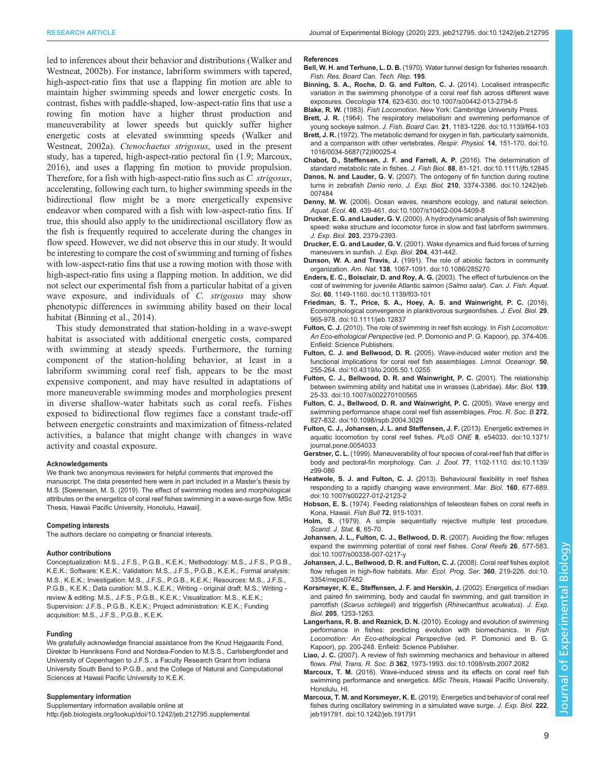<span id="page-8-0"></span>led to inferences about their behavior and distributions [\(Walker and](#page-9-0) [Westneat, 2002b](#page-9-0)). For instance, labriform swimmers with tapered, high-aspect-ratio fins that use a flapping fin motion are able to maintain higher swimming speeds and lower energetic costs. In contrast, fishes with paddle-shaped, low-aspect-ratio fins that use a rowing fin motion have a higher thrust production and maneuverability at lower speeds but quickly suffer higher energetic costs at elevated swimming speeds ([Walker and](#page-9-0) [Westneat, 2002a\)](#page-9-0). Ctenochaetus strigosus, used in the present study, has a tapered, high-aspect-ratio pectoral fin (1.9; Marcoux, 2016), and uses a flapping fin motion to provide propulsion. Therefore, for a fish with high-aspect-ratio fins such as C. strigosus, accelerating, following each turn, to higher swimming speeds in the bidirectional flow might be a more energetically expensive endeavor when compared with a fish with low-aspect-ratio fins. If true, this should also apply to the unidirectional oscillatory flow as the fish is frequently required to accelerate during the changes in flow speed. However, we did not observe this in our study. It would be interesting to compare the cost of swimming and turning of fishes with low-aspect-ratio fins that use a rowing motion with those with high-aspect-ratio fins using a flapping motion. In addition, we did not select our experimental fish from a particular habitat of a given wave exposure, and individuals of C. strigosus may show phenotypic differences in swimming ability based on their local habitat (Binning et al., 2014).

This study demonstrated that station-holding in a wave-swept habitat is associated with additional energetic costs, compared with swimming at steady speeds. Furthermore, the turning component of the station-holding behavior, at least in a labriform swimming coral reef fish, appears to be the most expensive component, and may have resulted in adaptations of more maneuverable swimming modes and morphologies present in diverse shallow-water habitats such as coral reefs. Fishes exposed to bidirectional flow regimes face a constant trade-off between energetic constraints and maximization of fitness-related activities, a balance that might change with changes in wave activity and coastal exposure.

#### Acknowledgements

We thank two anonymous reviewers for helpful comments that improved the manuscript. The data presented here were in part included in a Master's thesis by M.S. [Soerensen, M. S. (2019). The effect of swimming modes and morphological attributes on the energetics of coral reef fishes swimming in a wave-surge flow. MSc Thesis, Hawaii Pacific University, Honolulu, Hawaii].

#### Competing interests

The authors declare no competing or financial interests.

#### Author contributions

Conceptualization: M.S., J.F.S., P.G.B., K.E.K.; Methodology: M.S., J.F.S., P.G.B., K.E.K.; Software: K.E.K.; Validation: M.S., J.F.S., P.G.B., K.E.K.; Formal analysis: M.S., K.E.K.; Investigation: M.S., J.F.S., P.G.B., K.E.K.; Resources: M.S., J.F.S., P.G.B., K.E.K.; Data curation: M.S., K.E.K.; Writing - original draft: M.S.; Writing review & editing: M.S., J.F.S., P.G.B., K.E.K.; Visualization: M.S., K.E.K.; Supervision: J.F.S., P.G.B., K.E.K.; Project administration: K.E.K.; Funding acquisition: M.S., J.F.S., P.G.B., K.E.K.

#### Funding

We gratefully acknowledge financial assistance from the Knud Højgaards Fond, Direktør Ib Henriksens Fond and Nordea-Fonden to M.S.S., Carlsbergfondet and University of Copenhagen to J.F.S., a Faculty Research Grant from Indiana University South Bend to P.G.B., and the College of Natural and Computational Sciences at Hawaii Pacific University to K.E.K.

#### Supplementary information

Supplementary information available online at <http://jeb.biologists.org/lookup/doi/10.1242/jeb.212795.supplemental>

#### References

- Bell, W. H. and Terhune, L. D. B. (1970). Water tunnel design for fisheries research. Fish. Res. Board Can. Tech. Rep. 195.
- [Binning, S. A., Roche, D. G. and Fulton, C. J.](https://doi.org/10.1007/s00442-013-2794-5) (2014). Localised intraspecific [variation in the swimming phenotype of a coral reef fish across different wave](https://doi.org/10.1007/s00442-013-2794-5) exposures. Oecologia 174[, 623-630. doi:10.1007/s00442-013-2794-5](https://doi.org/10.1007/s00442-013-2794-5)
- Blake, R. W. (1983). Fish Locomotion. New York: Cambridge University Press.
- Brett, J. R. [\(1964\). The respiratory metabolism and swimming performance of](https://doi.org/10.1139/f64-103) young sockeye salmon. J. Fish. Board Can. 21[, 1183-1226. doi:10.1139/f64-103](https://doi.org/10.1139/f64-103)
- Brett, J. R. [\(1972\). The metabolic demand for oxygen in fish, particularly salmonids,](https://doi.org/10.1016/0034-5687(72)90025-4) [and a comparison with other vertebrates.](https://doi.org/10.1016/0034-5687(72)90025-4) Respir. Physiol. 14, 151-170. doi:10. [1016/0034-5687\(72\)90025-4](https://doi.org/10.1016/0034-5687(72)90025-4)
- [Chabot, D., Steffensen, J. F. and Farrell, A. P.](https://doi.org/10.1111/jfb.12845) (2016). The determination of [standard metabolic rate in fishes.](https://doi.org/10.1111/jfb.12845) J. Fish Biol. 88, 81-121. doi:10.1111/jfb.12845
- Danos, N. and Lauder, G. V. [\(2007\). The ontogeny of fin function during routine](https://doi.org/10.1242/jeb.007484) turns in zebrafish Danio rerio. J. Exp. Biol. 210[, 3374-3386. doi:10.1242/jeb.](https://doi.org/10.1242/jeb.007484) [007484](https://doi.org/10.1242/jeb.007484)
- Denny, M. W. [\(2006\). Ocean waves, nearshore ecology, and natural selection.](https://doi.org/10.1007/s10452-004-5409-8) Aquat. Ecol. 40[, 439-461. doi:10.1007/s10452-004-5409-8](https://doi.org/10.1007/s10452-004-5409-8)
- Drucker, E. G. and Lauder, G. V. (2000). A hydrodynamic analysis of fish swimming speed: wake structure and locomotor force in slow and fast labriform swimmers. J. Exp. Biol. 203, 2379-2393.
- Drucker, E. G. and Lauder, G. V. (2001). Wake dynamics and fluid forces of turning maneuvers in sunfish. J. Exp. Biol. 204, 431-442.
- Dunson, W. A. and Travis, J. [\(1991\). The role of abiotic factors in community](https://doi.org/10.1086/285270) organization. Am. Nat. 138[, 1067-1091. doi:10.1086/285270](https://doi.org/10.1086/285270)
- [Enders, E. C., Boisclair, D. and Roy, A. G.](https://doi.org/10.1139/f03-101) (2003). The effect of turbulence on the [cost of swimming for juvenile Atlantic salmon \(](https://doi.org/10.1139/f03-101)Salmo salar). Can. J. Fish. Aquat. Sci. 60[, 1149-1160. doi:10.1139/f03-101](https://doi.org/10.1139/f03-101)
- [Friedman, S. T., Price, S. A., Hoey, A. S. and Wainwright, P. C.](https://doi.org/10.1111/jeb.12837) (2016). [Ecomorphological convergence in planktivorous surgeonfishes.](https://doi.org/10.1111/jeb.12837) J. Evol. Biol. 29, [965-978. doi:10.1111/jeb.12837](https://doi.org/10.1111/jeb.12837)
- Fulton, C. J. (2010). The role of swimming in reef fish ecology. In Fish Locomotion: An Eco-ethological Perspective (ed. P. Domonici and P. G. Kapoor), pp. 374-406. Enfield: Science Publishers.
- Fulton, C. J. and Bellwood, D. R. [\(2005\). Wave-induced water motion and the](https://doi.org/10.4319/lo.2005.50.1.0255) [functional implications for coral reef fish assemblages.](https://doi.org/10.4319/lo.2005.50.1.0255) Limnol. Oceanogr. 50, [255-264. doi:10.4319/lo.2005.50.1.0255](https://doi.org/10.4319/lo.2005.50.1.0255)
- [Fulton, C. J., Bellwood, D. R. and Wainwright, P. C.](https://doi.org/10.1007/s002270100565) (2001). The relationship [between swimming ability and habitat use in wrasses \(Labridae\).](https://doi.org/10.1007/s002270100565) Mar. Biol. 139, [25-33. doi:10.1007/s002270100565](https://doi.org/10.1007/s002270100565)
- [Fulton, C. J., Bellwood, D. R. and Wainwright, P. C.](https://doi.org/10.1098/rspb.2004.3029) (2005). Wave energy and [swimming performance shape coral reef fish assemblages.](https://doi.org/10.1098/rspb.2004.3029) Proc. R. Soc. B 272, [827-832. doi:10.1098/rspb.2004.3029](https://doi.org/10.1098/rspb.2004.3029)
- [Fulton, C. J., Johansen, J. L. and Steffensen, J. F.](https://doi.org/10.1371/journal.pone.0054033) (2013). Energetic extremes in [aquatic locomotion by coral reef fishes.](https://doi.org/10.1371/journal.pone.0054033) PLoS ONE 8, e54033. doi:10.1371/ [journal.pone.0054033](https://doi.org/10.1371/journal.pone.0054033)
- Gerstner, C. L. [\(1999\). Maneuverability of four species of coral-reef fish that differ in](https://doi.org/10.1139/z99-086) [body and pectoral-fin morphology.](https://doi.org/10.1139/z99-086) Can. J. Zool. 77, 1102-1110. doi:10.1139/ [z99-086](https://doi.org/10.1139/z99-086)
- Heatwole, S. J. and Fulton, C. J. [\(2013\). Behavioural flexibility in reef fishes](https://doi.org/10.1007/s00227-012-2123-2) [responding to a rapidly changing wave environment.](https://doi.org/10.1007/s00227-012-2123-2) Mar. Biol. 160, 677-689. [doi:10.1007/s00227-012-2123-2](https://doi.org/10.1007/s00227-012-2123-2)
- Hobson, E. S. (1974). Feeding relationships of teleostean fishes on coral reefs in Kona, Hawaii. Fish Bull 72, 915-1031.
- Holm, S. (1979). A simple sequentially rejective multiple test procedure. Scand. J. Stat. 6, 65-70.
- [Johansen, J. L., Fulton, C. J., Bellwood, D. R.](https://doi.org/10.1007/s00338-007-0217-y) (2007). Avoiding the flow: refuges [expand the swimming potential of coral reef fishes.](https://doi.org/10.1007/s00338-007-0217-y) Coral Reefs 26, 577-583. [doi:10.1007/s00338-007-0217-y](https://doi.org/10.1007/s00338-007-0217-y)
- [Johansen, J. L., Bellwood, D. R. and Fulton, C. J.](https://doi.org/10.3354/meps07482) (2008). Coral reef fishes exploit [flow refuges in high-flow habitats.](https://doi.org/10.3354/meps07482) Mar. Ecol. Prog. Ser. 360, 219-226. doi:10. [3354/meps07482](https://doi.org/10.3354/meps07482)
- Korsmeyer, K. E., Steffensen, J. F. and Herskin, J. (2002). Energetics of median and paired fin swimming, body and caudal fin swimming, and gait transition in parrotfish (Scarus schlegeli) and triggerfish (Rhinecanthus aculeatus). J. Exp. Biol. 205, 1253-1263.
- Langerhans, R. B. and Reznick, D. N. (2010). Ecology and evolution of swimming performance in fishes: predicting evolution with biomechanics. In Fish Locomotion: An Eco-ethological Perspective (ed. P. Domonici and B. G. Kapoor), pp. 200-248. Enfield: Science Publisher.
- Liao, J. C. [\(2007\). A review of fish swimming mechanics and behaviour in altered](https://doi.org/10.1098/rstb.2007.2082) flows. Phil. Trans. R. Soc. B 362[, 1973-1993. doi:10.1098/rstb.2007.2082](https://doi.org/10.1098/rstb.2007.2082)
- Marcoux, T. M. (2016). Wave-induced stress and its effects on coral reef fish swimming performance and energetics. MSc Thesis, Hawaii Pacific University, Honolulu, HI.
- Marcoux, T. M. and Korsmeyer, K. E. [\(2019\). Energetics and behavior of coral reef](https://doi.org/10.1242/jeb.191791) [fishes during oscillatory swimming in a simulated wave surge.](https://doi.org/10.1242/jeb.191791) J. Exp. Biol. 222, [jeb191791. doi:10.1242/jeb.191791](https://doi.org/10.1242/jeb.191791)